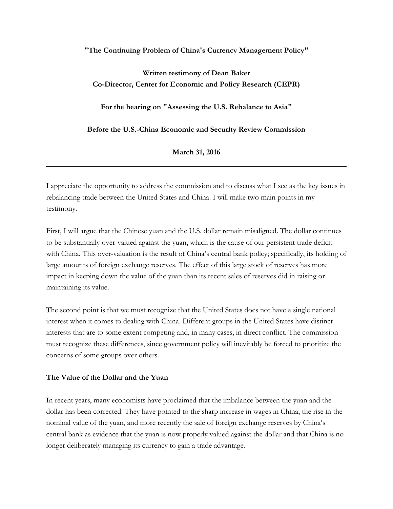### **"The Continuing Problem of China's Currency Management Policy"**

# **Written testimony of Dean Baker Co-Director, Center for Economic and Policy Research (CEPR)**

**For the hearing on "Assessing the U.S. Rebalance to Asia"**

**Before the U.S.-China Economic and Security Review Commission**

**March 31, 2016**

I appreciate the opportunity to address the commission and to discuss what I see as the key issues in rebalancing trade between the United States and China. I will make two main points in my testimony.

First, I will argue that the Chinese yuan and the U.S. dollar remain misaligned. The dollar continues to be substantially over-valued against the yuan, which is the cause of our persistent trade deficit with China. This over-valuation is the result of China's central bank policy; specifically, its holding of large amounts of foreign exchange reserves. The effect of this large stock of reserves has more impact in keeping down the value of the yuan than its recent sales of reserves did in raising or maintaining its value.

The second point is that we must recognize that the United States does not have a single national interest when it comes to dealing with China. Different groups in the United States have distinct interests that are to some extent competing and, in many cases, in direct conflict. The commission must recognize these differences, since government policy will inevitably be forced to prioritize the concerns of some groups over others.

#### **The Value of the Dollar and the Yuan**

In recent years, many economists have proclaimed that the imbalance between the yuan and the dollar has been corrected. They have pointed to the sharp increase in wages in China, the rise in the nominal value of the yuan, and more recently the sale of foreign exchange reserves by China's central bank as evidence that the yuan is now properly valued against the dollar and that China is no longer deliberately managing its currency to gain a trade advantage.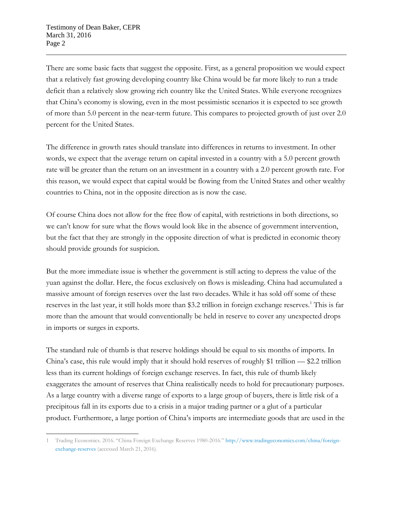There are some basic facts that suggest the opposite. First, as a general proposition we would expect that a relatively fast growing developing country like China would be far more likely to run a trade deficit than a relatively slow growing rich country like the United States. While everyone recognizes that China's economy is slowing, even in the most pessimistic scenarios it is expected to see growth of more than 5.0 percent in the near-term future. This compares to projected growth of just over 2.0 percent for the United States.

The difference in growth rates should translate into differences in returns to investment. In other words, we expect that the average return on capital invested in a country with a 5.0 percent growth rate will be greater than the return on an investment in a country with a 2.0 percent growth rate. For this reason, we would expect that capital would be flowing from the United States and other wealthy countries to China, not in the opposite direction as is now the case.

Of course China does not allow for the free flow of capital, with restrictions in both directions, so we can't know for sure what the flows would look like in the absence of government intervention, but the fact that they are strongly in the opposite direction of what is predicted in economic theory should provide grounds for suspicion.

But the more immediate issue is whether the government is still acting to depress the value of the yuan against the dollar. Here, the focus exclusively on flows is misleading. China had accumulated a massive amount of foreign reserves over the last two decades. While it has sold off some of these reserves in the last year, it still holds more than \$3.2 trillion in foreign exchange reserves.<sup>1</sup> This is far more than the amount that would conventionally be held in reserve to cover any unexpected drops in imports or surges in exports.

The standard rule of thumb is that reserve holdings should be equal to six months of imports. In China's case, this rule would imply that it should hold reserves of roughly \$1 trillion — \$2.2 trillion less than its current holdings of foreign exchange reserves. In fact, this rule of thumb likely exaggerates the amount of reserves that China realistically needs to hold for precautionary purposes. As a large country with a diverse range of exports to a large group of buyers, there is little risk of a precipitous fall in its exports due to a crisis in a major trading partner or a glut of a particular product. Furthermore, a large portion of China's imports are intermediate goods that are used in the

 $\overline{a}$ 1 Trading Economics. 2016. "China Foreign Exchange Reserves 1980-2016." [http://www.tradingeconomics.com/china/foreign](http://www.tradingeconomics.com/china/foreign-exchange-reserves)[exchange-reserves](http://www.tradingeconomics.com/china/foreign-exchange-reserves) (accessed March 21, 2016).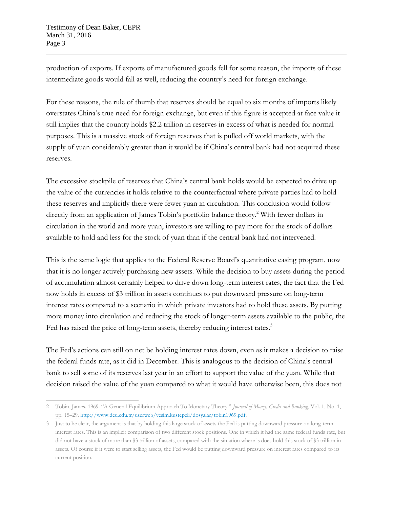production of exports. If exports of manufactured goods fell for some reason, the imports of these intermediate goods would fall as well, reducing the country's need for foreign exchange.

For these reasons, the rule of thumb that reserves should be equal to six months of imports likely overstates China's true need for foreign exchange, but even if this figure is accepted at face value it still implies that the country holds \$2.2 trillion in reserves in excess of what is needed for normal purposes. This is a massive stock of foreign reserves that is pulled off world markets, with the supply of yuan considerably greater than it would be if China's central bank had not acquired these reserves.

The excessive stockpile of reserves that China's central bank holds would be expected to drive up the value of the currencies it holds relative to the counterfactual where private parties had to hold these reserves and implicitly there were fewer yuan in circulation. This conclusion would follow directly from an application of James Tobin's portfolio balance theory.<sup>2</sup> With fewer dollars in circulation in the world and more yuan, investors are willing to pay more for the stock of dollars available to hold and less for the stock of yuan than if the central bank had not intervened.

This is the same logic that applies to the Federal Reserve Board's quantitative easing program, now that it is no longer actively purchasing new assets. While the decision to buy assets during the period of accumulation almost certainly helped to drive down long-term interest rates, the fact that the Fed now holds in excess of \$3 trillion in assets continues to put downward pressure on long-term interest rates compared to a scenario in which private investors had to hold these assets. By putting more money into circulation and reducing the stock of longer-term assets available to the public, the Fed has raised the price of long-term assets, thereby reducing interest rates.<sup>3</sup>

The Fed's actions can still on net be holding interest rates down, even as it makes a decision to raise the federal funds rate, as it did in December. This is analogous to the decision of China's central bank to sell some of its reserves last year in an effort to support the value of the yuan. While that decision raised the value of the yuan compared to what it would have otherwise been, this does not

 $\overline{\phantom{a}}$ 2 Tobin, James. 1969. "A General Equilibrium Approach To Monetary Theory." *Journal of Money, Credit and Banking*, Vol. 1, No. 1, pp. 15–29[. http://www.deu.edu.tr/userweb/yesim.kustepeli/dosyalar/tobin1969.pdf.](http://www.deu.edu.tr/userweb/yesim.kustepeli/dosyalar/tobin1969.pdf)

<sup>3</sup> Just to be clear, the argument is that by holding this large stock of assets the Fed is putting downward pressure on long-term interest rates. This is an implicit comparison of two different stock positions. One in which it had the same federal funds rate, but did not have a stock of more than \$3 trillion of assets, compared with the situation where is does hold this stock of \$3 trillion in assets. Of course if it were to start selling assets, the Fed would be putting downward pressure on interest rates compared to its current position.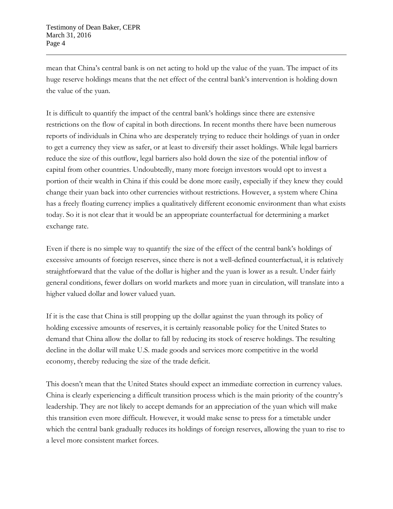mean that China's central bank is on net acting to hold up the value of the yuan. The impact of its huge reserve holdings means that the net effect of the central bank's intervention is holding down the value of the yuan.

It is difficult to quantify the impact of the central bank's holdings since there are extensive restrictions on the flow of capital in both directions. In recent months there have been numerous reports of individuals in China who are desperately trying to reduce their holdings of yuan in order to get a currency they view as safer, or at least to diversify their asset holdings. While legal barriers reduce the size of this outflow, legal barriers also hold down the size of the potential inflow of capital from other countries. Undoubtedly, many more foreign investors would opt to invest a portion of their wealth in China if this could be done more easily, especially if they knew they could change their yuan back into other currencies without restrictions. However, a system where China has a freely floating currency implies a qualitatively different economic environment than what exists today. So it is not clear that it would be an appropriate counterfactual for determining a market exchange rate.

Even if there is no simple way to quantify the size of the effect of the central bank's holdings of excessive amounts of foreign reserves, since there is not a well-defined counterfactual, it is relatively straightforward that the value of the dollar is higher and the yuan is lower as a result. Under fairly general conditions, fewer dollars on world markets and more yuan in circulation, will translate into a higher valued dollar and lower valued yuan.

If it is the case that China is still propping up the dollar against the yuan through its policy of holding excessive amounts of reserves, it is certainly reasonable policy for the United States to demand that China allow the dollar to fall by reducing its stock of reserve holdings. The resulting decline in the dollar will make U.S. made goods and services more competitive in the world economy, thereby reducing the size of the trade deficit.

This doesn't mean that the United States should expect an immediate correction in currency values. China is clearly experiencing a difficult transition process which is the main priority of the country's leadership. They are not likely to accept demands for an appreciation of the yuan which will make this transition even more difficult. However, it would make sense to press for a timetable under which the central bank gradually reduces its holdings of foreign reserves, allowing the yuan to rise to a level more consistent market forces.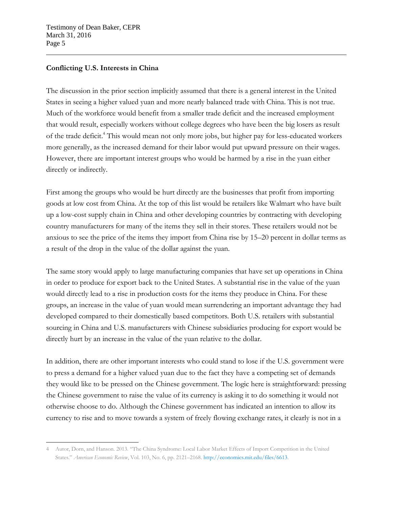### **Conflicting U.S. Interests in China**

The discussion in the prior section implicitly assumed that there is a general interest in the United States in seeing a higher valued yuan and more nearly balanced trade with China. This is not true. Much of the workforce would benefit from a smaller trade deficit and the increased employment that would result, especially workers without college degrees who have been the big losers as result of the trade deficit.<sup>4</sup> This would mean not only more jobs, but higher pay for less-educated workers more generally, as the increased demand for their labor would put upward pressure on their wages. However, there are important interest groups who would be harmed by a rise in the yuan either directly or indirectly.

First among the groups who would be hurt directly are the businesses that profit from importing goods at low cost from China. At the top of this list would be retailers like Walmart who have built up a low-cost supply chain in China and other developing countries by contracting with developing country manufacturers for many of the items they sell in their stores. These retailers would not be anxious to see the price of the items they import from China rise by 15–20 percent in dollar terms as a result of the drop in the value of the dollar against the yuan.

The same story would apply to large manufacturing companies that have set up operations in China in order to produce for export back to the United States. A substantial rise in the value of the yuan would directly lead to a rise in production costs for the items they produce in China. For these groups, an increase in the value of yuan would mean surrendering an important advantage they had developed compared to their domestically based competitors. Both U.S. retailers with substantial sourcing in China and U.S. manufacturers with Chinese subsidiaries producing for export would be directly hurt by an increase in the value of the yuan relative to the dollar.

In addition, there are other important interests who could stand to lose if the U.S. government were to press a demand for a higher valued yuan due to the fact they have a competing set of demands they would like to be pressed on the Chinese government. The logic here is straightforward: pressing the Chinese government to raise the value of its currency is asking it to do something it would not otherwise choose to do. Although the Chinese government has indicated an intention to allow its currency to rise and to move towards a system of freely flowing exchange rates, it clearly is not in a

 $\overline{a}$ 4 Autor, Dorn, and Hanson. 2013. "The China Syndrome: Local Labor Market Effects of Import Competition in the United States." *American Economic Review*, Vol. 103, No. 6, pp. 2121–2168. [http://economics.mit.edu/files/6613.](http://economics.mit.edu/files/6613)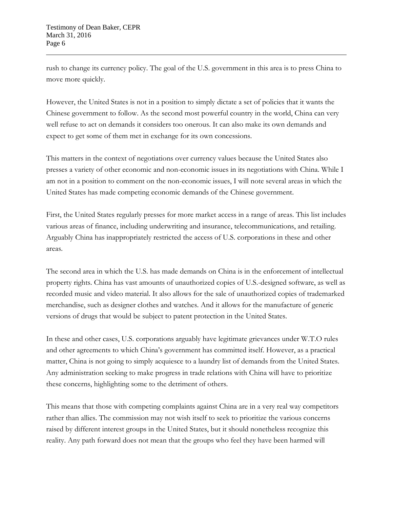rush to change its currency policy. The goal of the U.S. government in this area is to press China to move more quickly.

However, the United States is not in a position to simply dictate a set of policies that it wants the Chinese government to follow. As the second most powerful country in the world, China can very well refuse to act on demands it considers too onerous. It can also make its own demands and expect to get some of them met in exchange for its own concessions.

This matters in the context of negotiations over currency values because the United States also presses a variety of other economic and non-economic issues in its negotiations with China. While I am not in a position to comment on the non-economic issues, I will note several areas in which the United States has made competing economic demands of the Chinese government.

First, the United States regularly presses for more market access in a range of areas. This list includes various areas of finance, including underwriting and insurance, telecommunications, and retailing. Arguably China has inappropriately restricted the access of U.S. corporations in these and other areas.

The second area in which the U.S. has made demands on China is in the enforcement of intellectual property rights. China has vast amounts of unauthorized copies of U.S.-designed software, as well as recorded music and video material. It also allows for the sale of unauthorized copies of trademarked merchandise, such as designer clothes and watches. And it allows for the manufacture of generic versions of drugs that would be subject to patent protection in the United States.

In these and other cases, U.S. corporations arguably have legitimate grievances under W.T.O rules and other agreements to which China's government has committed itself. However, as a practical matter, China is not going to simply acquiesce to a laundry list of demands from the United States. Any administration seeking to make progress in trade relations with China will have to prioritize these concerns, highlighting some to the detriment of others.

This means that those with competing complaints against China are in a very real way competitors rather than allies. The commission may not wish itself to seek to prioritize the various concerns raised by different interest groups in the United States, but it should nonetheless recognize this reality. Any path forward does not mean that the groups who feel they have been harmed will